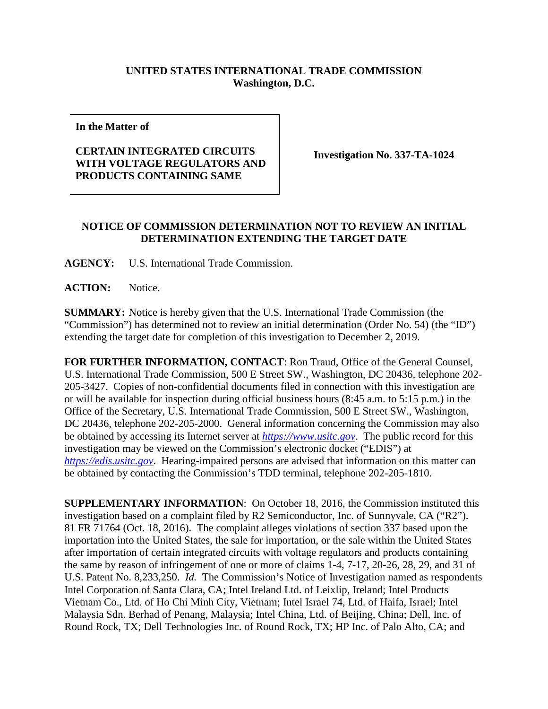## **UNITED STATES INTERNATIONAL TRADE COMMISSION Washington, D.C.**

**In the Matter of**

## **CERTAIN INTEGRATED CIRCUITS WITH VOLTAGE REGULATORS AND PRODUCTS CONTAINING SAME**

**Investigation No. 337-TA-1024**

## **NOTICE OF COMMISSION DETERMINATION NOT TO REVIEW AN INITIAL DETERMINATION EXTENDING THE TARGET DATE**

**AGENCY:** U.S. International Trade Commission.

**ACTION:** Notice.

**SUMMARY:** Notice is hereby given that the U.S. International Trade Commission (the "Commission") has determined not to review an initial determination (Order No. 54) (the "ID") extending the target date for completion of this investigation to December 2, 2019.

**FOR FURTHER INFORMATION, CONTACT**: Ron Traud, Office of the General Counsel, U.S. International Trade Commission, 500 E Street SW., Washington, DC 20436, telephone 202- 205-3427. Copies of non-confidential documents filed in connection with this investigation are or will be available for inspection during official business hours (8:45 a.m. to 5:15 p.m.) in the Office of the Secretary, U.S. International Trade Commission, 500 E Street SW., Washington, DC 20436, telephone 202-205-2000. General information concerning the Commission may also be obtained by accessing its Internet server at *[https://www.usitc.gov](https://www.usitc.gov/)*. The public record for this investigation may be viewed on the Commission's electronic docket ("EDIS") at *[https://edis.usitc.gov](https://edis.usitc.gov/)*. Hearing-impaired persons are advised that information on this matter can be obtained by contacting the Commission's TDD terminal, telephone 202-205-1810.

**SUPPLEMENTARY INFORMATION**: On October 18, 2016, the Commission instituted this investigation based on a complaint filed by R2 Semiconductor, Inc. of Sunnyvale, CA ("R2"). 81 FR 71764 (Oct. 18, 2016). The complaint alleges violations of section 337 based upon the importation into the United States, the sale for importation, or the sale within the United States after importation of certain integrated circuits with voltage regulators and products containing the same by reason of infringement of one or more of claims 1-4, 7-17, 20-26, 28, 29, and 31 of U.S. Patent No. 8,233,250. *Id.* The Commission's Notice of Investigation named as respondents Intel Corporation of Santa Clara, CA; Intel Ireland Ltd. of Leixlip, Ireland; Intel Products Vietnam Co., Ltd. of Ho Chi Minh City, Vietnam; Intel Israel 74, Ltd. of Haifa, Israel; Intel Malaysia Sdn. Berhad of Penang, Malaysia; Intel China, Ltd. of Beijing, China; Dell, Inc. of Round Rock, TX; Dell Technologies Inc. of Round Rock, TX; HP Inc. of Palo Alto, CA; and